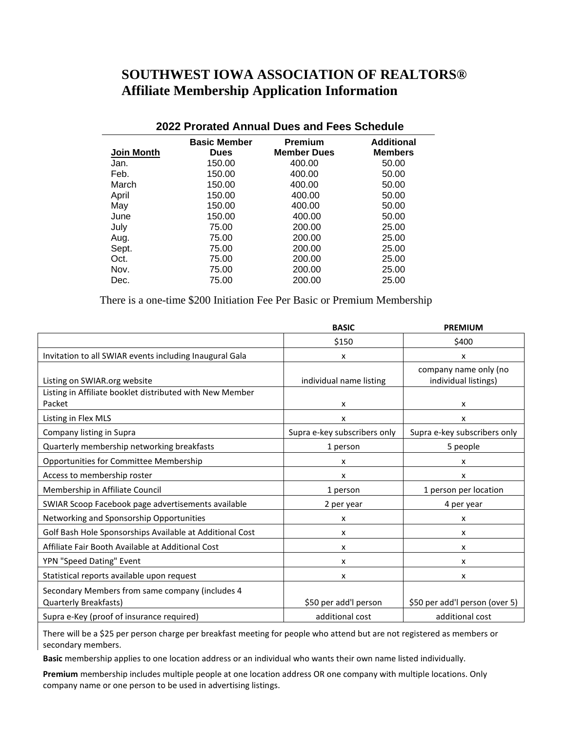## **SOUTHWEST IOWA ASSOCIATION OF REALTORS® Affiliate Membership Application Information**

| 2022 Prorated Annual Dues and Fees Schedule |                                    |                                                               |       |  |  |
|---------------------------------------------|------------------------------------|---------------------------------------------------------------|-------|--|--|
| <b>Join Month</b>                           | <b>Basic Member</b><br><b>Dues</b> | Premium<br>Additional<br><b>Member Dues</b><br><b>Members</b> |       |  |  |
| Jan.                                        | 150.00                             | 400.00                                                        | 50.00 |  |  |
| Feb.                                        | 150.00                             | 400.00                                                        | 50.00 |  |  |
| March                                       | 150.00                             | 400.00                                                        | 50.00 |  |  |
| April                                       | 150.00                             | 400.00                                                        | 50.00 |  |  |
| May                                         | 150.00                             | 400.00                                                        | 50.00 |  |  |
| June                                        | 150.00                             | 400.00                                                        | 50.00 |  |  |
| July                                        | 75.00                              | 200.00                                                        | 25.00 |  |  |
| Aug.                                        | 75.00                              | 200.00                                                        | 25.00 |  |  |
| Sept.                                       | 75.00                              | 200.00                                                        | 25.00 |  |  |
| Oct.                                        | 75.00                              | 200.00                                                        | 25.00 |  |  |
| Nov.                                        | 75.00                              | 200.00                                                        | 25.00 |  |  |
| Dec.                                        | 75.00                              | 200.00                                                        | 25.00 |  |  |

Ĺ,

## There is a one-time \$200 Initiation Fee Per Basic or Premium Membership

|                                                                          | <b>BASIC</b>                 | <b>PREMIUM</b>                                |  |
|--------------------------------------------------------------------------|------------------------------|-----------------------------------------------|--|
|                                                                          | \$150                        | \$400                                         |  |
| Invitation to all SWIAR events including Inaugural Gala                  | x                            | x                                             |  |
| Listing on SWIAR.org website                                             | individual name listing      | company name only (no<br>individual listings) |  |
| Listing in Affiliate booklet distributed with New Member<br>Packet       | x                            | x                                             |  |
| Listing in Flex MLS                                                      | X                            | x                                             |  |
| Company listing in Supra                                                 | Supra e-key subscribers only | Supra e-key subscribers only                  |  |
| Quarterly membership networking breakfasts                               | 1 person                     | 5 people                                      |  |
| Opportunities for Committee Membership                                   | x                            | x                                             |  |
| Access to membership roster                                              | x                            | x                                             |  |
| Membership in Affiliate Council                                          | 1 person                     | 1 person per location                         |  |
| SWIAR Scoop Facebook page advertisements available                       | 2 per year                   | 4 per year                                    |  |
| Networking and Sponsorship Opportunities                                 | x                            | x                                             |  |
| Golf Bash Hole Sponsorships Available at Additional Cost                 | x                            | x                                             |  |
| Affiliate Fair Booth Available at Additional Cost                        | x                            | x                                             |  |
| YPN "Speed Dating" Event                                                 | x                            | x                                             |  |
| Statistical reports available upon request                               | x                            | x                                             |  |
| Secondary Members from same company (includes 4<br>Quarterly Breakfasts) | \$50 per add'l person        | \$50 per add'l person (over 5)                |  |
| Supra e-Key (proof of insurance required)                                | additional cost              | additional cost                               |  |

There will be a \$25 per person charge per breakfast meeting for people who attend but are not registered as members or secondary members.

**Basic** membership applies to one location address or an individual who wants their own name listed individually.

**Premium** membership includes multiple people at one location address OR one company with multiple locations. Only company name or one person to be used in advertising listings.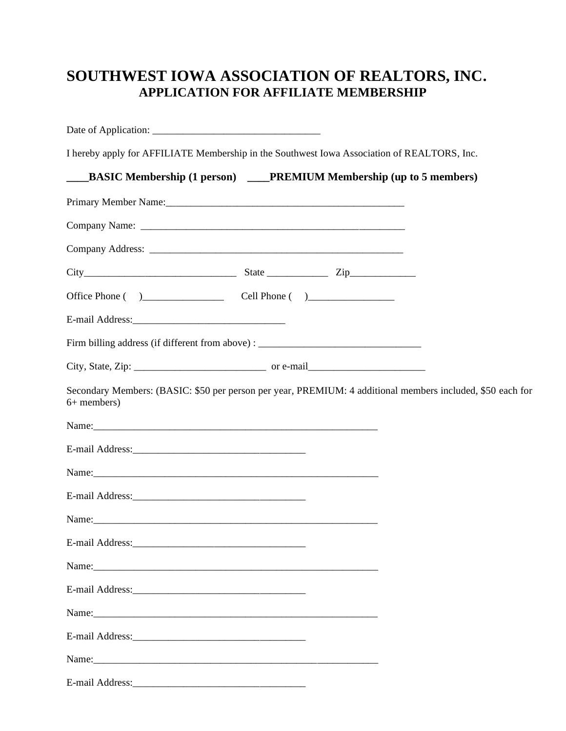## **SOUTHWEST IOWA ASSOCIATION OF REALTORS, INC. APPLICATION FOR AFFILIATE MEMBERSHIP**

| I hereby apply for AFFILIATE Membership in the Southwest Iowa Association of REALTORS, Inc.                                                                                                                                    |                                                                             |  |  |
|--------------------------------------------------------------------------------------------------------------------------------------------------------------------------------------------------------------------------------|-----------------------------------------------------------------------------|--|--|
| $\overline{\phantom{a}}$                                                                                                                                                                                                       | <b>BASIC Membership (1 person)</b> ____PREMIUM Membership (up to 5 members) |  |  |
| Primary Member Name: 1988 and 1988 and 1988 and 1988 and 1988 and 1988 and 1988 and 1988 and 1988 and 1988 and 1988 and 1988 and 1988 and 1988 and 1988 and 1988 and 1988 and 1988 and 1988 and 1988 and 1988 and 1988 and 198 |                                                                             |  |  |
|                                                                                                                                                                                                                                |                                                                             |  |  |
|                                                                                                                                                                                                                                |                                                                             |  |  |
|                                                                                                                                                                                                                                |                                                                             |  |  |
|                                                                                                                                                                                                                                |                                                                             |  |  |
|                                                                                                                                                                                                                                |                                                                             |  |  |
| Firm billing address (if different from above) : _______________________________                                                                                                                                               |                                                                             |  |  |
|                                                                                                                                                                                                                                |                                                                             |  |  |
| Secondary Members: (BASIC: \$50 per person per year, PREMIUM: 4 additional members included, \$50 each for<br>6+ members)                                                                                                      |                                                                             |  |  |
|                                                                                                                                                                                                                                |                                                                             |  |  |
|                                                                                                                                                                                                                                |                                                                             |  |  |
|                                                                                                                                                                                                                                |                                                                             |  |  |
|                                                                                                                                                                                                                                |                                                                             |  |  |
| Name: Name and the second contract of the second contract of the second contract of the second contract of the second contract of the second contract of the second contract of the second contract of the second contract of  |                                                                             |  |  |
|                                                                                                                                                                                                                                |                                                                             |  |  |
| Name: Name and the second contract of the second contract of the second contract of the second contract of the second contract of the second contract of the second contract of the second contract of the second contract of  |                                                                             |  |  |
|                                                                                                                                                                                                                                |                                                                             |  |  |
| Name: Name and the second contract of the second contract of the second contract of the second contract of the second contract of the second contract of the second contract of the second contract of the second contract of  |                                                                             |  |  |
|                                                                                                                                                                                                                                |                                                                             |  |  |
|                                                                                                                                                                                                                                |                                                                             |  |  |
|                                                                                                                                                                                                                                |                                                                             |  |  |